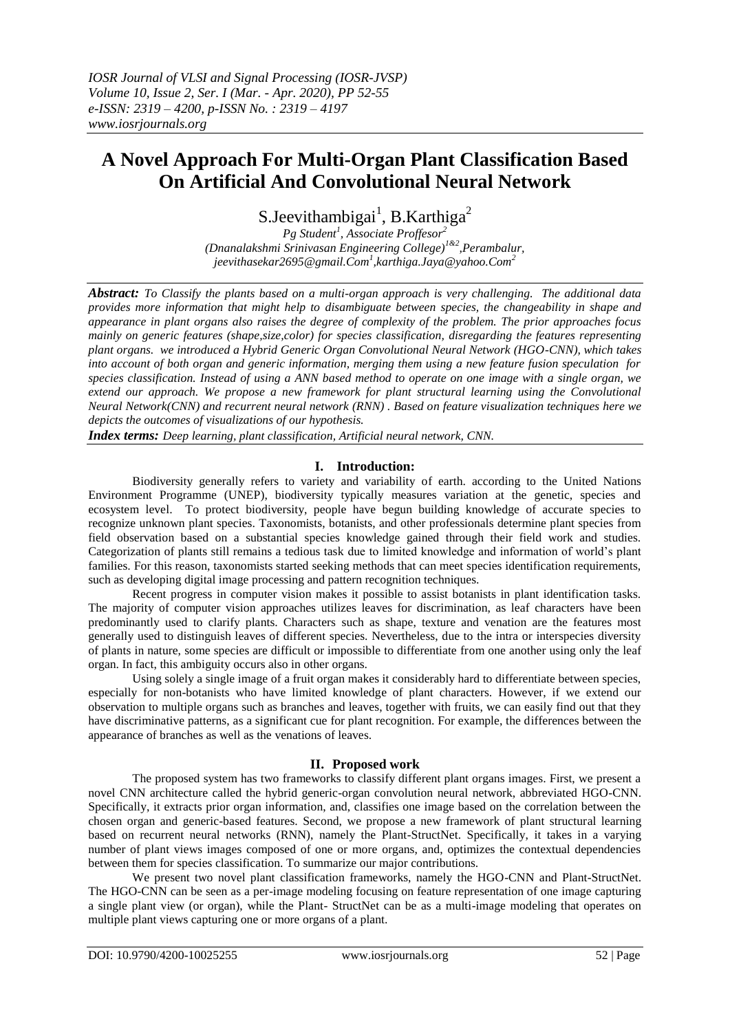# **A Novel Approach For Multi-Organ Plant Classification Based On Artificial And Convolutional Neural Network**

S.Jeevithambigai<sup>1</sup>, B.Karthiga<sup>2</sup>

*Pg Student<sup>1</sup> , Associate Proffesor<sup>2</sup> (Dnanalakshmi Srinivasan Engineering College)1&2,Perambalur, jeevithasekar2695@gmail.Com<sup>1</sup> ,karthiga.Jaya@yahoo.Com<sup>2</sup>*

*Abstract: To Classify the plants based on a multi-organ approach is very challenging. The additional data provides more information that might help to disambiguate between species, the changeability in shape and appearance in plant organs also raises the degree of complexity of the problem. The prior approaches focus mainly on generic features (shape,size,color) for species classification, disregarding the features representing plant organs. we introduced a Hybrid Generic Organ Convolutional Neural Network (HGO-CNN), which takes into account of both organ and generic information, merging them using a new feature fusion speculation for species classification. Instead of using a ANN based method to operate on one image with a single organ, we extend our approach. We propose a new framework for plant structural learning using the Convolutional Neural Network(CNN) and recurrent neural network (RNN) . Based on feature visualization techniques here we depicts the outcomes of visualizations of our hypothesis.*

*Index terms: Deep learning, plant classification, Artificial neural network, CNN.*

## **I. Introduction:**

Biodiversity generally refers to variety and variability of earth. according to the United Nations Environment Programme (UNEP), biodiversity typically measures variation at the genetic, species and ecosystem level. To protect biodiversity, people have begun building knowledge of accurate species to recognize unknown plant species. Taxonomists, botanists, and other professionals determine plant species from field observation based on a substantial species knowledge gained through their field work and studies. Categorization of plants still remains a tedious task due to limited knowledge and information of world's plant families. For this reason, taxonomists started seeking methods that can meet species identification requirements, such as developing digital image processing and pattern recognition techniques.

Recent progress in computer vision makes it possible to assist botanists in plant identification tasks. The majority of computer vision approaches utilizes leaves for discrimination, as leaf characters have been predominantly used to clarify plants. Characters such as shape, texture and venation are the features most generally used to distinguish leaves of different species. Nevertheless, due to the intra or interspecies diversity of plants in nature, some species are difficult or impossible to differentiate from one another using only the leaf organ. In fact, this ambiguity occurs also in other organs.

Using solely a single image of a fruit organ makes it considerably hard to differentiate between species, especially for non-botanists who have limited knowledge of plant characters. However, if we extend our observation to multiple organs such as branches and leaves, together with fruits, we can easily find out that they have discriminative patterns, as a significant cue for plant recognition. For example, the differences between the appearance of branches as well as the venations of leaves.

## **II. Proposed work**

The proposed system has two frameworks to classify different plant organs images. First, we present a novel CNN architecture called the hybrid generic-organ convolution neural network, abbreviated HGO-CNN. Specifically, it extracts prior organ information, and, classifies one image based on the correlation between the chosen organ and generic-based features. Second, we propose a new framework of plant structural learning based on recurrent neural networks (RNN), namely the Plant-StructNet. Specifically, it takes in a varying number of plant views images composed of one or more organs, and, optimizes the contextual dependencies between them for species classification. To summarize our major contributions.

We present two novel plant classification frameworks, namely the HGO-CNN and Plant-StructNet. The HGO-CNN can be seen as a per-image modeling focusing on feature representation of one image capturing a single plant view (or organ), while the Plant- StructNet can be as a multi-image modeling that operates on multiple plant views capturing one or more organs of a plant.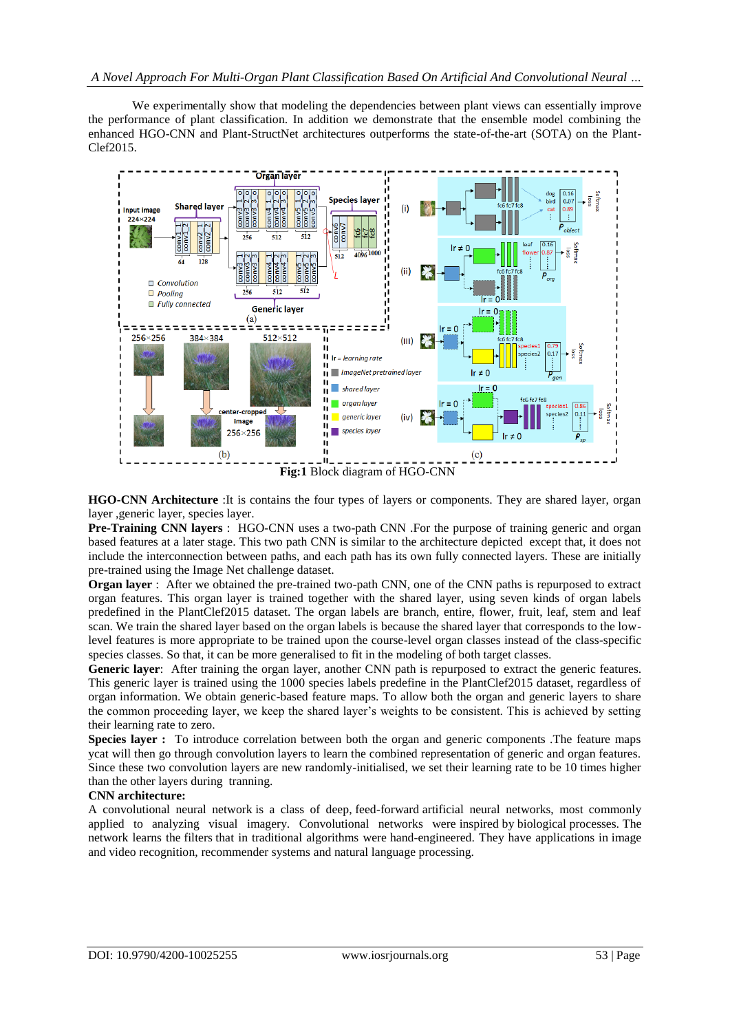We experimentally show that modeling the dependencies between plant views can essentially improve the performance of plant classification. In addition we demonstrate that the ensemble model combining the enhanced HGO-CNN and Plant-StructNet architectures outperforms the state-of-the-art (SOTA) on the Plant-Clef2015.



**HGO-CNN Architecture** :It is contains the four types of layers or components. They are shared layer, organ layer ,generic layer, species layer.

**Pre-Training CNN layers** : HGO-CNN uses a two-path CNN .For the purpose of training generic and organ based features at a later stage. This two path CNN is similar to the architecture depicted except that, it does not include the interconnection between paths, and each path has its own fully connected layers. These are initially pre-trained using the Image Net challenge dataset.

**Organ layer** : After we obtained the pre-trained two-path CNN, one of the CNN paths is repurposed to extract organ features. This organ layer is trained together with the shared layer, using seven kinds of organ labels predefined in the PlantClef2015 dataset. The organ labels are branch, entire, flower, fruit, leaf, stem and leaf scan. We train the shared layer based on the organ labels is because the shared layer that corresponds to the lowlevel features is more appropriate to be trained upon the course-level organ classes instead of the class-specific species classes. So that, it can be more generalised to fit in the modeling of both target classes.

Generic layer: After training the organ layer, another CNN path is repurposed to extract the generic features. This generic layer is trained using the 1000 species labels predefine in the PlantClef2015 dataset, regardless of organ information. We obtain generic-based feature maps. To allow both the organ and generic layers to share the common proceeding layer, we keep the shared layer's weights to be consistent. This is achieved by setting their learning rate to zero.

**Species layer :** To introduce correlation between both the organ and generic components .The feature maps ycat will then go through convolution layers to learn the combined representation of generic and organ features. Since these two convolution layers are new randomly-initialised, we set their learning rate to be 10 times higher than the other layers during tranning.

### **CNN architecture:**

A convolutional neural network is a class of deep, feed-forward artificial neural networks, most commonly applied to analyzing visual imagery. Convolutional networks were inspired by biological processes. The network learns the filters that in traditional algorithms were hand-engineered. They have applications in image and video recognition, recommender systems and natural language processing.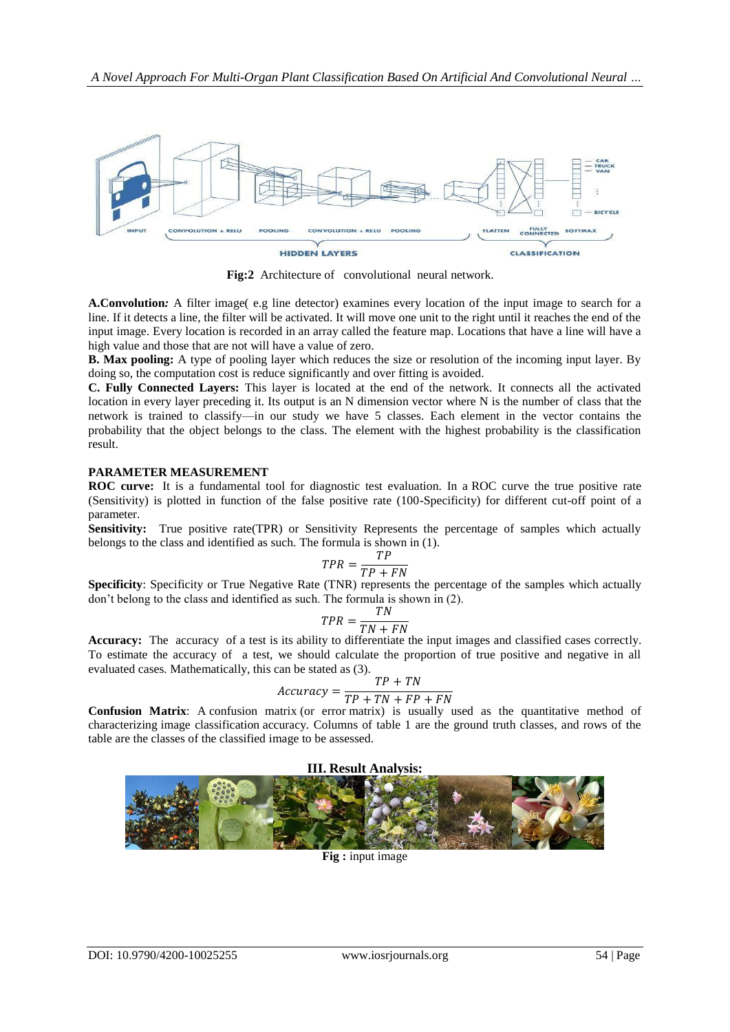

**Fig:2** Architecture of convolutional neural network.

**A.Convolution***:* A filter image( e.g line detector) examines every location of the input image to search for a line. If it detects a line, the filter will be activated. It will move one unit to the right until it reaches the end of the input image. Every location is recorded in an array called the feature map. Locations that have a line will have a high value and those that are not will have a value of zero.

**B. Max pooling:** A type of pooling layer which reduces the size or resolution of the incoming input layer. By doing so, the computation cost is reduce significantly and over fitting is avoided.

**C. Fully Connected Layers:** This layer is located at the end of the network. It connects all the activated location in every layer preceding it. Its output is an N dimension vector where N is the number of class that the network is trained to classify—in our study we have 5 classes. Each element in the vector contains the probability that the object belongs to the class. The element with the highest probability is the classification result.

#### **PARAMETER MEASUREMENT**

**ROC curve:** It is a fundamental tool for diagnostic test evaluation. In a ROC curve the true positive rate (Sensitivity) is plotted in function of the false positive rate (100-Specificity) for different cut-off point of a parameter.

**Sensitivity:** True positive rate(TPR) or Sensitivity Represents the percentage of samples which actually belongs to the class and identified as such. The formula is shown in (1).

$$
TPR = \frac{TP}{TP + FN}
$$

**Specificity**: Specificity or True Negative Rate (TNR) represents the percentage of the samples which actually don't belong to the class and identified as such. The formula is shown in (2).

$$
TPR = \frac{TN}{TN + FN}
$$

**Accuracy:** The accuracy of a test is its ability to differentiate the input images and classified cases correctly. To estimate the accuracy of a test, we should calculate the proportion of true positive and negative in all evaluated cases. Mathematically, this can be stated as (3).

$$
Accuracy = \frac{TP + TN}{TP + TN + FP + FN}
$$

**Confusion Matrix**: A confusion matrix (or error matrix) is usually used as the quantitative method of characterizing image classification accuracy. Columns of table 1 are the ground truth classes, and rows of the table are the classes of the classified image to be assessed.



**Fig :** input image